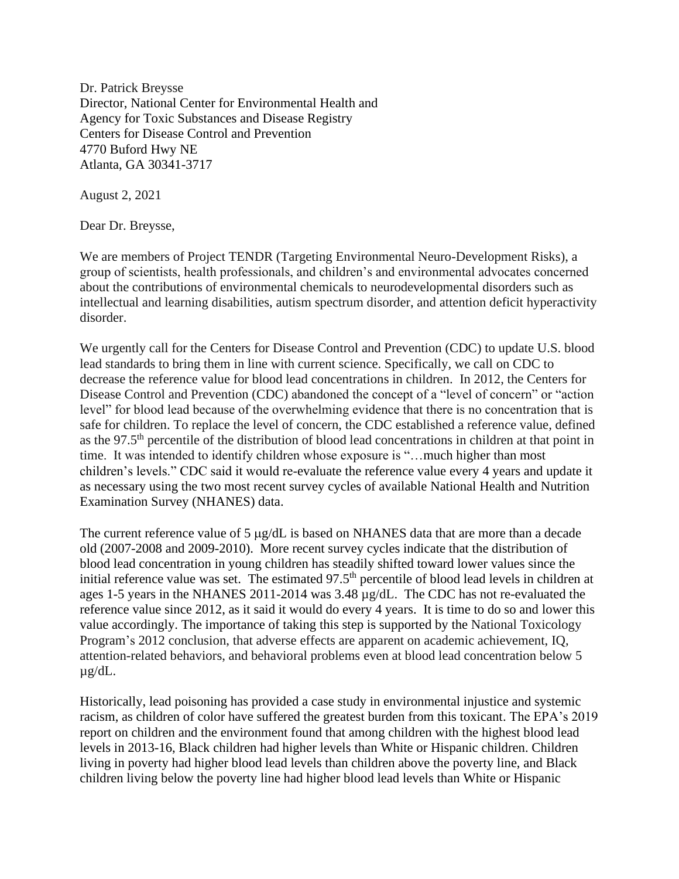Dr. Patrick Breysse Director, National Center for Environmental Health and Agency for Toxic Substances and Disease Registry Centers for Disease Control and Prevention 4770 Buford Hwy NE Atlanta, GA 30341-3717

August 2, 2021

Dear Dr. Breysse,

We are members of Project TENDR (Targeting Environmental Neuro-Development Risks), a group of scientists, health professionals, and children's and environmental advocates concerned about the contributions of environmental chemicals to neurodevelopmental disorders such as intellectual and learning disabilities, autism spectrum disorder, and attention deficit hyperactivity disorder.

We urgently call for the Centers for Disease Control and Prevention (CDC) to update U.S. blood lead standards to bring them in line with current science. Specifically, we call on CDC to decrease the reference value for blood lead concentrations in children. In 2012, the Centers for Disease Control and Prevention (CDC) abandoned the concept of a "level of concern" or "action level" for blood lead because of the overwhelming evidence that there is no concentration that is safe for children. To replace the level of concern, the CDC established a reference value, defined as the 97.5th percentile of the distribution of blood lead concentrations in children at that point in time. It was intended to identify children whose exposure is "…much higher than most children's levels." CDC said it would re-evaluate the reference value every 4 years and update it as necessary using the two most recent survey cycles of available National Health and Nutrition Examination Survey (NHANES) data.

The current reference value of 5  $\mu$ g/dL is based on NHANES data that are more than a decade old (2007-2008 and 2009-2010). More recent survey cycles indicate that the distribution of blood lead concentration in young children has steadily shifted toward lower values since the initial reference value was set. The estimated 97.5<sup>th</sup> percentile of blood lead levels in children at ages 1-5 years in the NHANES 2011-2014 was 3.48 µg/dL. The CDC has not re-evaluated the reference value since 2012, as it said it would do every 4 years. It is time to do so and lower this value accordingly. The importance of taking this step is supported by the National Toxicology Program's 2012 conclusion, that adverse effects are apparent on academic achievement, IQ, attention-related behaviors, and behavioral problems even at blood lead concentration below 5 µg/dL.

Historically, lead poisoning has provided a case study in environmental injustice and systemic racism, as children of color have suffered the greatest burden from this toxicant. The EPA's 2019 report on children and the environment found that among children with the highest blood lead levels in 2013-16, Black children had higher levels than White or Hispanic children. Children living in poverty had higher blood lead levels than children above the poverty line, and Black children living below the poverty line had higher blood lead levels than White or Hispanic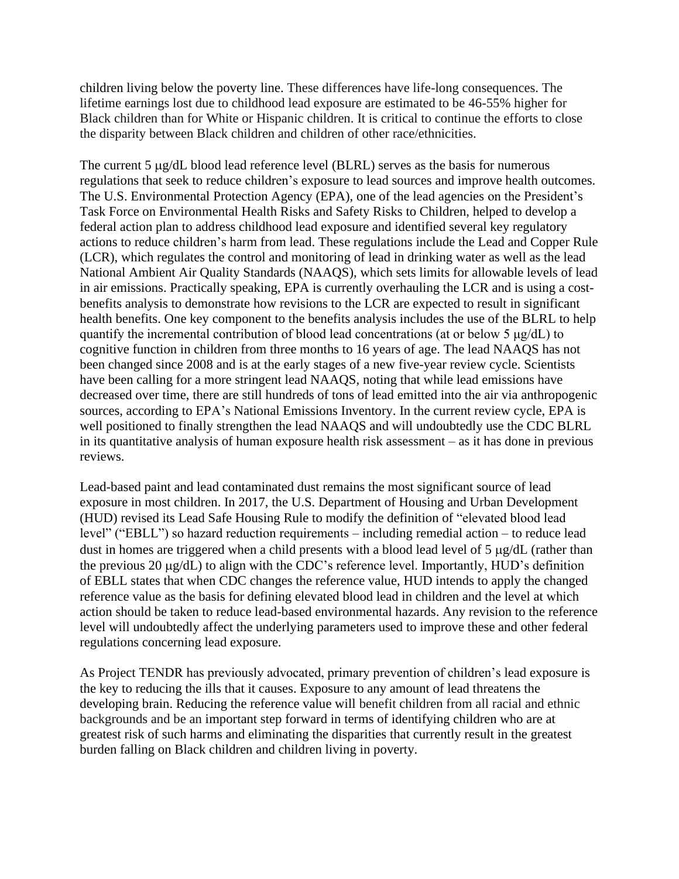children living below the poverty line. These differences have life-long consequences. The lifetime earnings lost due to childhood lead exposure are estimated to be 46-55% higher for Black children than for White or Hispanic children. It is critical to continue the efforts to close the disparity between Black children and children of other race/ethnicities.

The current 5  $\mu$ g/dL blood lead reference level (BLRL) serves as the basis for numerous regulations that seek to reduce children's exposure to lead sources and improve health outcomes. The U.S. Environmental Protection Agency (EPA), one of the lead agencies on the President's Task Force on Environmental Health Risks and Safety Risks to Children, helped to develop a federal action plan to address childhood lead exposure and identified several key regulatory actions to reduce children's harm from lead. These regulations include the Lead and Copper Rule (LCR), which regulates the control and monitoring of lead in drinking water as well as the lead National Ambient Air Quality Standards (NAAQS), which sets limits for allowable levels of lead in air emissions. Practically speaking, EPA is currently overhauling the LCR and is using a costbenefits analysis to demonstrate how revisions to the LCR are expected to result in significant health benefits. One key component to the benefits analysis includes the use of the BLRL to help quantify the incremental contribution of blood lead concentrations (at or below 5 μg/dL) to cognitive function in children from three months to 16 years of age. The lead NAAQS has not been changed since 2008 and is at the early stages of a new five-year review cycle. Scientists have been calling for a more stringent lead NAAQS, noting that while lead emissions have decreased over time, there are still hundreds of tons of lead emitted into the air via anthropogenic sources, according to EPA's National Emissions Inventory. In the current review cycle, EPA is well positioned to finally strengthen the lead NAAQS and will undoubtedly use the CDC BLRL in its quantitative analysis of human exposure health risk assessment – as it has done in previous reviews.

Lead-based paint and lead contaminated dust remains the most significant source of lead exposure in most children. In 2017, the U.S. Department of Housing and Urban Development (HUD) revised its Lead Safe Housing Rule to modify the definition of "elevated blood lead level" ("EBLL") so hazard reduction requirements – including remedial action – to reduce lead dust in homes are triggered when a child presents with a blood lead level of  $5 \mu g/dL$  (rather than the previous 20  $\mu$ g/dL) to align with the CDC's reference level. Importantly, HUD's definition of EBLL states that when CDC changes the reference value, HUD intends to apply the changed reference value as the basis for defining elevated blood lead in children and the level at which action should be taken to reduce lead-based environmental hazards. Any revision to the reference level will undoubtedly affect the underlying parameters used to improve these and other federal regulations concerning lead exposure.

As Project TENDR has previously advocated, primary prevention of children's lead exposure is the key to reducing the ills that it causes. Exposure to any amount of lead threatens the developing brain. Reducing the reference value will benefit children from all racial and ethnic backgrounds and be an important step forward in terms of identifying children who are at greatest risk of such harms and eliminating the disparities that currently result in the greatest burden falling on Black children and children living in poverty.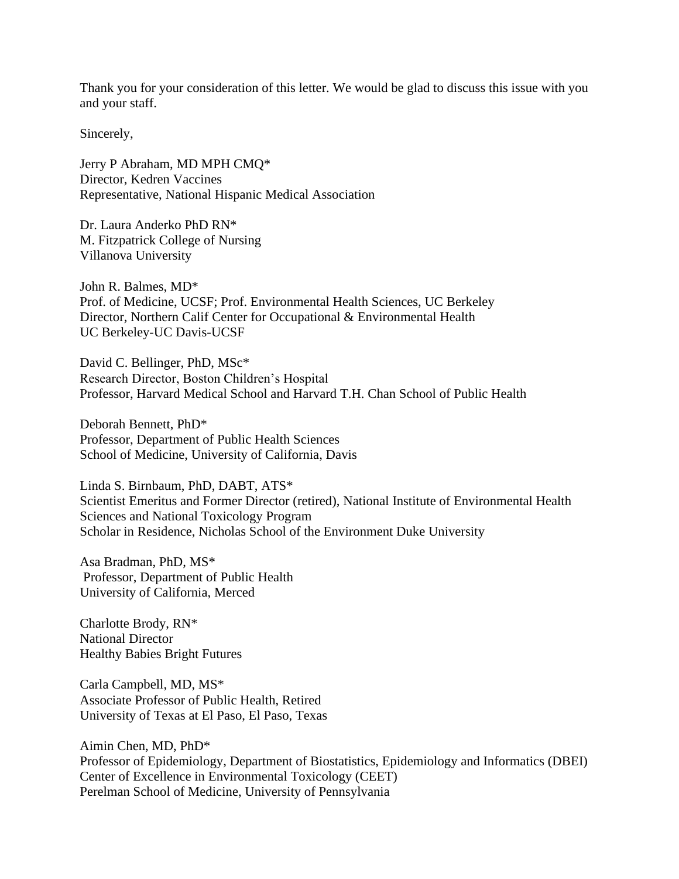Thank you for your consideration of this letter. We would be glad to discuss this issue with you and your staff.

Sincerely,

Jerry P Abraham, MD MPH CMQ\* Director, Kedren Vaccines Representative, National Hispanic Medical Association

Dr. Laura Anderko PhD RN\* M. Fitzpatrick College of Nursing Villanova University

John R. Balmes, MD\* Prof. of Medicine, UCSF; Prof. Environmental Health Sciences, UC Berkeley Director, Northern Calif Center for Occupational & Environmental Health UC Berkeley-UC Davis-UCSF

David C. Bellinger, PhD, MSc\* Research Director, Boston Children's Hospital Professor, Harvard Medical School and Harvard T.H. Chan School of Public Health

Deborah Bennett, PhD\* Professor, Department of Public Health Sciences School of Medicine, University of California, Davis

Linda S. Birnbaum, PhD, DABT, ATS\* Scientist Emeritus and Former Director (retired), National Institute of Environmental Health Sciences and National Toxicology Program Scholar in Residence, Nicholas School of the Environment Duke University

Asa Bradman, PhD, MS\* Professor, Department of Public Health University of California, Merced

Charlotte Brody, RN\* National Director Healthy Babies Bright Futures

Carla Campbell, MD, MS\* Associate Professor of Public Health, Retired University of Texas at El Paso, El Paso, Texas

Aimin Chen, MD, PhD\* Professor of Epidemiology, Department of Biostatistics, Epidemiology and Informatics (DBEI) Center of Excellence in Environmental Toxicology (CEET) Perelman School of Medicine, University of Pennsylvania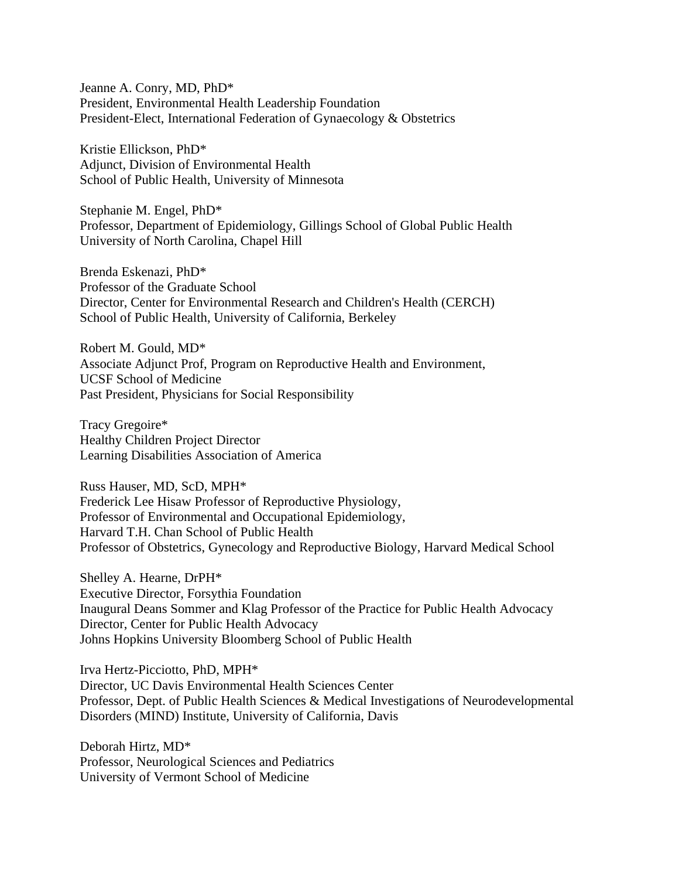Jeanne A. Conry, MD, PhD\* President, Environmental Health Leadership Foundation President-Elect, International Federation of Gynaecology & Obstetrics

Kristie Ellickson, PhD\* Adjunct, Division of Environmental Health School of Public Health, University of Minnesota

Stephanie M. Engel, PhD\* Professor, Department of Epidemiology, Gillings School of Global Public Health University of North Carolina, Chapel Hill

Brenda Eskenazi, PhD\* Professor of the Graduate School Director, Center for Environmental Research and Children's Health (CERCH) School of Public Health, University of California, Berkeley

Robert M. Gould, MD\* Associate Adjunct Prof, Program on Reproductive Health and Environment, UCSF School of Medicine Past President, Physicians for Social Responsibility

Tracy Gregoire\* Healthy Children Project Director Learning Disabilities Association of America

Russ Hauser, MD, ScD, MPH\* Frederick Lee Hisaw Professor of Reproductive Physiology, Professor of Environmental and Occupational Epidemiology, Harvard T.H. Chan School of Public Health Professor of Obstetrics, Gynecology and Reproductive Biology, Harvard Medical School

Shelley A. Hearne, DrPH\* Executive Director, Forsythia Foundation Inaugural Deans Sommer and Klag Professor of the Practice for Public Health Advocacy Director, Center for Public Health Advocacy Johns Hopkins University Bloomberg School of Public Health

Irva Hertz-Picciotto, PhD, MPH\* Director, UC Davis Environmental Health Sciences Center Professor, Dept. of Public Health Sciences & Medical Investigations of Neurodevelopmental Disorders (MIND) Institute, University of California, Davis

Deborah Hirtz, MD\* Professor, Neurological Sciences and Pediatrics University of Vermont School of Medicine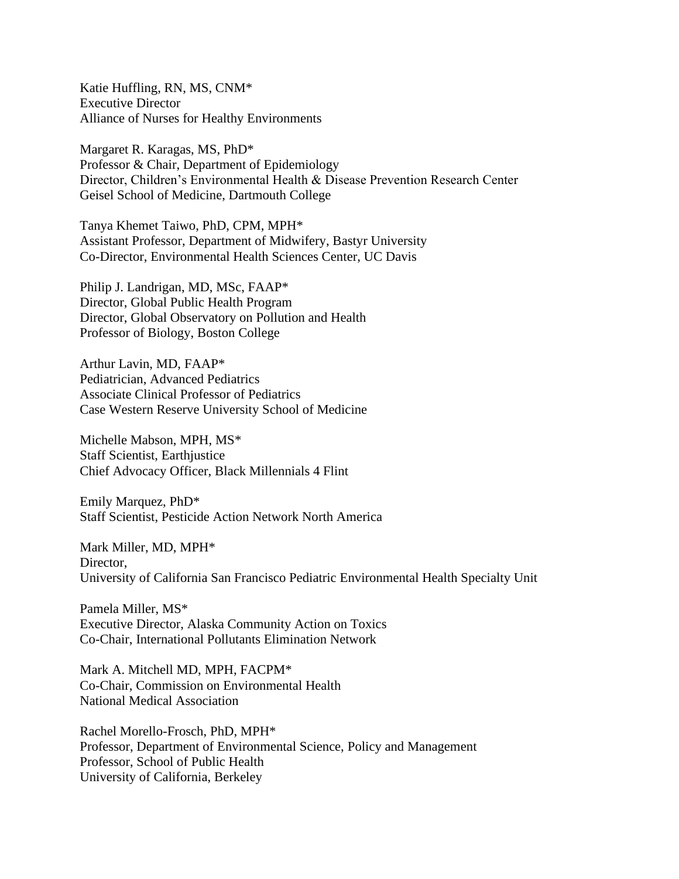Katie Huffling, RN, MS, CNM\* Executive Director Alliance of Nurses for Healthy Environments

Margaret R. Karagas, MS, PhD\* Professor & Chair, Department of Epidemiology Director, Children's Environmental Health & Disease Prevention Research Center Geisel School of Medicine, Dartmouth College

Tanya Khemet Taiwo, PhD, CPM, MPH\* Assistant Professor, Department of Midwifery, Bastyr University Co-Director, Environmental Health Sciences Center, UC Davis

Philip J. Landrigan, MD, MSc, FAAP\* Director, Global Public Health Program Director, Global Observatory on Pollution and Health Professor of Biology, Boston College

Arthur Lavin, MD, FAAP\* Pediatrician, Advanced Pediatrics Associate Clinical Professor of Pediatrics Case Western Reserve University School of Medicine

Michelle Mabson, MPH, MS\* Staff Scientist, Earthjustice Chief Advocacy Officer, Black Millennials 4 Flint

Emily Marquez, PhD\* Staff Scientist, Pesticide Action Network North America

Mark Miller, MD, MPH\* Director, University of California San Francisco Pediatric Environmental Health Specialty Unit

Pamela Miller, MS\* Executive Director, Alaska Community Action on Toxics Co-Chair, International Pollutants Elimination Network

Mark A. Mitchell MD, MPH, FACPM\* Co-Chair, Commission on Environmental Health National Medical Association

Rachel Morello-Frosch, PhD, MPH\* Professor, Department of Environmental Science, Policy and Management Professor, School of Public Health University of California, Berkeley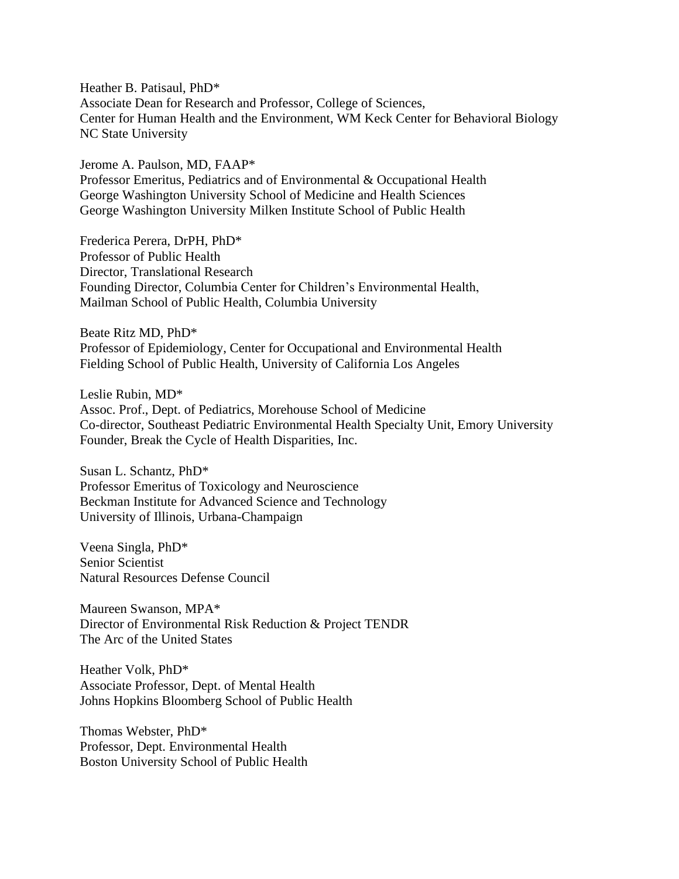Heather B. Patisaul, PhD\* Associate Dean for Research and Professor, College of Sciences, Center for Human Health and the Environment, WM Keck Center for Behavioral Biology NC State University

Jerome A. Paulson, MD, FAAP\* Professor Emeritus, Pediatrics and of Environmental & Occupational Health George Washington University School of Medicine and Health Sciences George Washington University Milken Institute School of Public Health

Frederica Perera, DrPH, PhD\* Professor of Public Health Director, Translational Research Founding Director, Columbia Center for Children's Environmental Health, Mailman School of Public Health, Columbia University

Beate Ritz MD, PhD\* Professor of Epidemiology, Center for Occupational and Environmental Health Fielding School of Public Health, University of California Los Angeles

Leslie Rubin, MD\* Assoc. Prof., Dept. of Pediatrics, Morehouse School of Medicine Co-director, Southeast Pediatric Environmental Health Specialty Unit, Emory University Founder, Break the Cycle of Health Disparities, Inc.

Susan L. Schantz, PhD\* Professor Emeritus of Toxicology and Neuroscience Beckman Institute for Advanced Science and Technology University of Illinois, Urbana-Champaign

Veena Singla, PhD\* Senior Scientist Natural Resources Defense Council

Maureen Swanson, MPA\* Director of Environmental Risk Reduction & Project TENDR The Arc of the United States

Heather Volk, PhD\* Associate Professor, Dept. of Mental Health Johns Hopkins Bloomberg School of Public Health

Thomas Webster, PhD\* Professor, Dept. Environmental Health Boston University School of Public Health